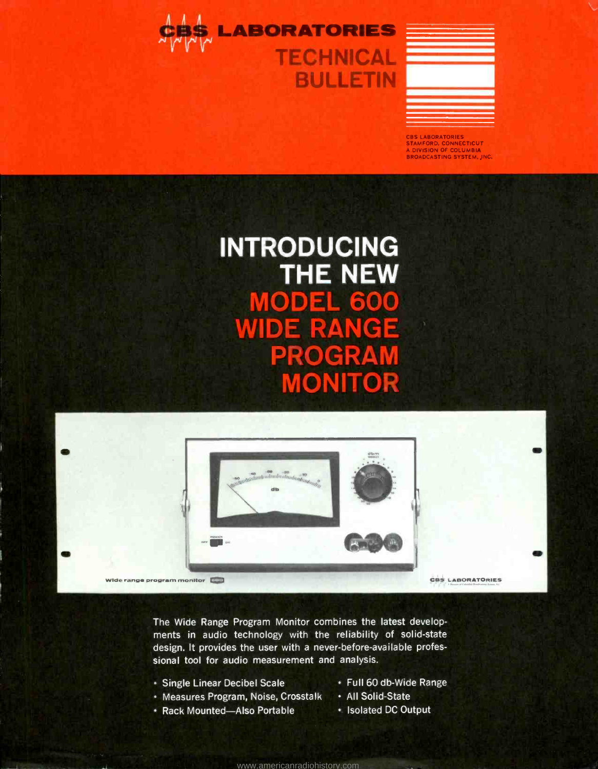



CBS LABORATORIES STAMFORD, CONNECTICUT <sup>A</sup>DIVISION OF COLUMBIA BROADCASTING SYSTEM, INC.

## INTRODUCING THE NEW MODEL 600 WIDE RANGE PROGRAM **ONITO**



The Wide Range Program Monitor combines the latest developments in audio technology with the reliability of solid-state design. It provides the user with a never-before-available professional tool for audio measurement and analysis.

<www.americanradiohistory.com>

- Single Linear Decibel Scale Full 60 db-Wide Range
- Measures Program, Noise, Crosstalk All Solid-State
- Rack Mounted -Also Portable Isolated DC Output
- 
- -